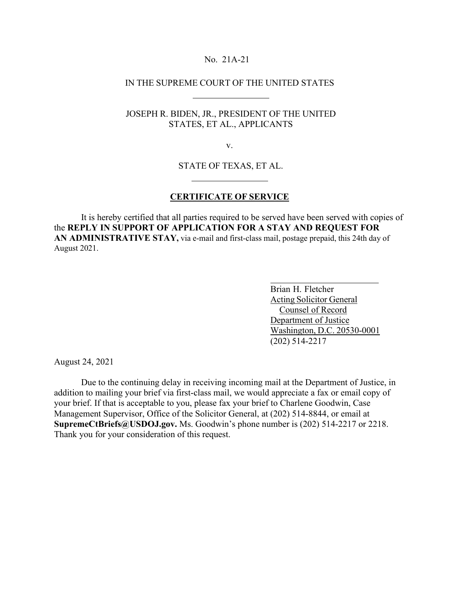## No. 21A-21

## IN THE SUPREME COURT OF THE UNITED STATES

# JOSEPH R. BIDEN, JR., PRESIDENT OF THE UNITED STATES, ET AL., APPLICANTS

v.

## STATE OF TEXAS, ET AL.

#### **CERTIFICATE OF SERVICE**

It is hereby certified that all parties required to be served have been served with copies of the **REPLY IN SUPPORT OF APPLICATION FOR A STAY AND REQUEST FOR AN ADMINISTRATIVE STAY,** via e-mail and first-class mail, postage prepaid, this 24th day of August 2021.

> Brian H. Fletcher Acting Solicitor General Counsel of Record Department of Justice Washington, D.C. 20530-0001 (202) 514-2217

August 24, 2021

Due to the continuing delay in receiving incoming mail at the Department of Justice, in addition to mailing your brief via first-class mail, we would appreciate a fax or email copy of your brief. If that is acceptable to you, please fax your brief to Charlene Goodwin, Case Management Supervisor, Office of the Solicitor General, at (202) 514-8844, or email at **[SupremeCtBriefs@USDOJ.gov.](mailto:SupremeCtBriefs@USDOJ.gov)** Ms. Goodwin's phone number is (202) 514-2217 or 2218. Thank you for your consideration of this request.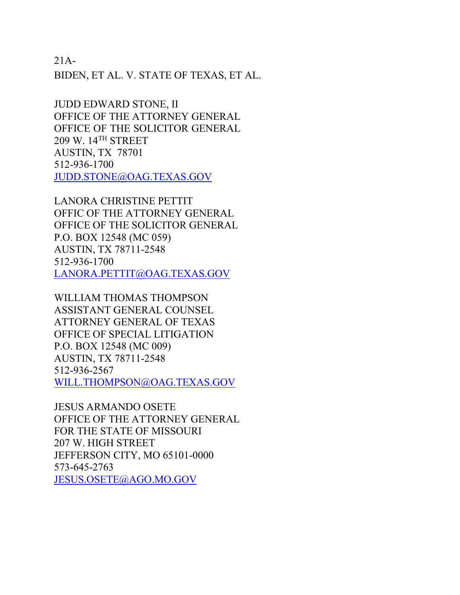21A-

BIDEN, ET AL. V. STATE OF TEXAS, ET AL.

JUDD EDWARD STONE, II OFFICE OF THE ATTORNEY GENERAL OFFICE OF THE SOLICITOR GENERAL 209 W. 14TH STREET AUSTIN, TX 78701 512-936-1700 [JUDD.STONE@OAG.TEXAS.GOV](mailto:JUDD.STONE@OAG.TEXAS.GOV)

LANORA CHRISTINE PETTIT OFFIC OF THE ATTORNEY GENERAL OFFICE OF THE SOLICITOR GENERAL P.O. BOX 12548 (MC 059) AUSTIN, TX 78711-2548 512-936-1700 [LANORA.PETTIT@OAG.TEXAS.GOV](mailto:LANORA.PETTIT@OAG.TEXAS.GOV)

WILLIAM THOMAS THOMPSON ASSISTANT GENERAL COUNSEL ATTORNEY GENERAL OF TEXAS OFFICE OF SPECIAL LITIGATION P.O. BOX 12548 (MC 009) AUSTIN, TX 78711-2548 512-936-2567 [WILL.THOMPSON@OAG.TEXAS.GOV](mailto:WILL.THOMPSON@OAG.TEXAS.GOV)

JESUS ARMANDO OSETE OFFICE OF THE ATTORNEY GENERAL FOR THE STATE OF MISSOURI 207 W. HIGH STREET JEFFERSON CITY, MO 65101-0000 573-645-2763 [JESUS.OSETE@AGO.MO.GOV](mailto:JESUS.OSETE@AGO.MO.GOV)